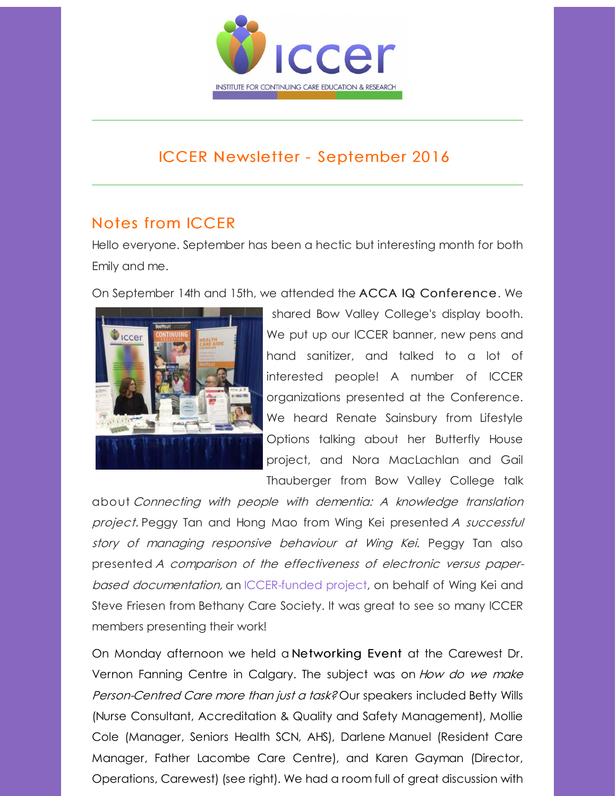

# ICCER Newsletter - September 2016

# Notes from ICCER

Hello everyone. September has been a hectic but interesting month for both Emily and me.

On September 14th and 15th, we attended the ACCA IQ Conference. We



shared Bow Valley College's display booth. We put up our ICCER banner, new pens and hand sanitizer, and talked to a lot of interested people! A number of ICCER organizations presented at the Conference. We heard Renate Sainsbury from Lifestyle Options talking about her Butterfly House project, and Nora MacLachlan and Gail Thauberger from Bow Valley College talk

about Connecting with people with dementia: A knowledge translation project. Peggy Tan and Hong Mao from Wing Kei presented A successful story of managing responsive behaviour at Wing Kei. Peggy Tan also presented A comparison of the effectiveness of electronic versus paperbased documentation, an [ICCER-funded](http://r20.rs6.net/tn.jsp?f=001-NAcRqi2QE0r_orwBQ2_zukEeOlcaHdEhRRxcVuonGAIxwBWe5C76eUyPaihu_GYKRGu_pwfV9NP-Bc4ETJlYxd6HsgjdCmyNp59GGZjsI5Ub3Z8fq7s0XvaisNsq9LVOQTzgK9tT0SncpdDL9TT014gm6CnY-8LRK_NBUhPrP9LSd6xCH01K9iBremUYzxG&c=&ch=) project, on behalf of Wing Kei and Steve Friesen from Bethany Care Society. It was great to see so many ICCER members presenting their work!

On Monday afternoon we held a Networking Event at the Carewest Dr. Vernon Fanning Centre in Calgary. The subject was on How do we make Person-Centred Care more than just a task? Our speakers included Betty Wills (Nurse Consultant, Accreditation & Quality and Safety Management), Mollie Cole (Manager, Seniors Health SCN, AHS), Darlene Manuel (Resident Care Manager, Father Lacombe Care Centre), and Karen Gayman (Director, Operations, Carewest) (see right). We had a room full of great discussion with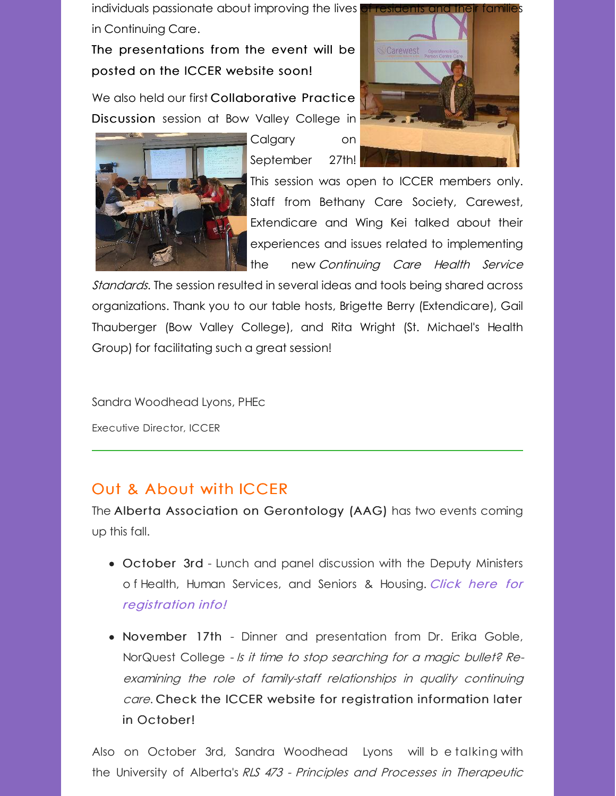individuals passionate about improving the lives in Continuing Care.

The presentations from the event will be posted on the ICCER website soon!

We also held our first Collaborative Practice Discussion session at Bow Valley College in



Calgary on September 27th!



This session was open to ICCER members only. Staff from Bethany Care Society, Carewest, Extendicare and Wing Kei talked about their experiences and issues related to implementing the new Continuing Care Health Service

Standards. The session resulted in several ideas and tools being shared across organizations. Thank you to our table hosts, Brigette Berry (Extendicare), Gail Thauberger (Bow Valley College), and Rita Wright (St. Michael's Health Group) for facilitating such a great session!

Sandra Woodhead Lyons, PHEc

Executive Director, ICCER

## Out & About with ICCER

The Alberta Association on Gerontology (AAG) has two events coming up this fall.

- October 3rd Lunch and panel discussion with the Deputy Ministers o f Health, Human Services, and Seniors & Housing. Click here for [registration](http://www.iccer.ca/pdf/events/AAG_3Oct16_paneldiscussion.pdf) info!
- November 17th Dinner and presentation from Dr. Erika Goble, NorQuest College - Is it time to stop searching for <sup>a</sup> magic bullet? Reexamining the role of family-staff relationships in quality continuing care. Check the ICCER website for registration information later in October!

Also on October 3rd, Sandra Woodhead Lyons will b e talking with the University of Alberta's RLS 473 - Principles and Processes in Therapeutic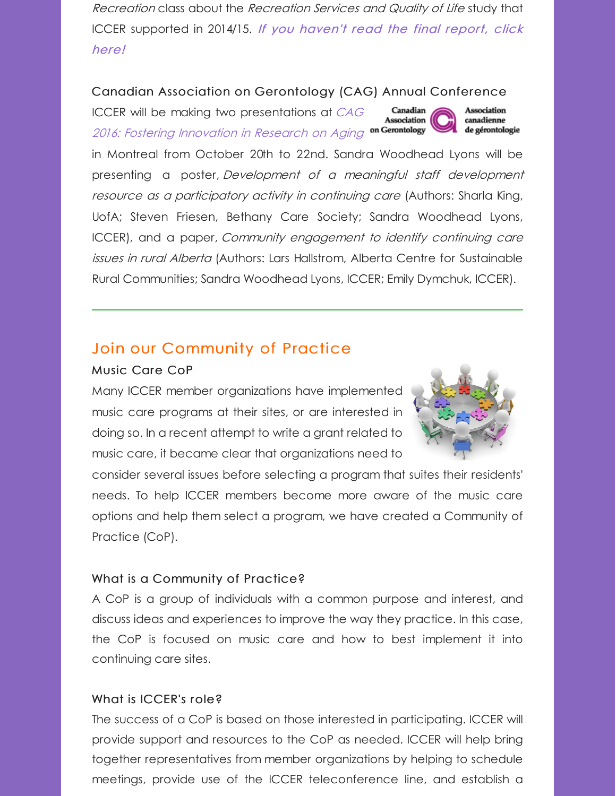Recreation class about the Recreation Services and Quality of Life study that ICCER [supported](http://www.iccer.ca/rsqls.html) in 2014/15. If you haven't read the final report, click here!

### Canadian Association on Gerontology (CAG) Annual Conference

ICCER will be making two [presentations](http://cag2016.ca/) at CAG Canadian **Association** 2016: Fostering Innovation in Research on Aging on Gerontology

in Montreal from October 20th to 22nd. Sandra Woodhead Lyons will be presenting a poster, Development of <sup>a</sup> meaningful staff development resource as a participatory activity in continuing care (Authors: Sharla King, UofA; Steven Friesen, Bethany Care Society; Sandra Woodhead Lyons, ICCER), and a paper, Community engagement to identify continuing care issues in rural Alberta (Authors: Lars Hallstrom, Alberta Centre for Sustainable Rural Communities; Sandra Woodhead Lyons, ICCER; Emily Dymchuk, ICCER).

## Join our Community of Practice

### Music Care CoP

Many ICCER member organizations have implemented music care programs at their sites, or are interested in doing so. In a recent attempt to write a grant related to music care, it became clear that organizations need to



Association

canadienne de gérontologie

consider several issues before selecting a program that suites their residents' needs. To help ICCER members become more aware of the music care options and help them select a program, we have created a Community of Practice (CoP).

### What is a Community of Practice?

A CoP is a group of individuals with a common purpose and interest, and discuss ideas and experiences to improve the way they practice. In this case, the CoP is focused on music care and how to best implement it into continuing care sites.

### What is ICCER's role?

The success of a CoP is based on those interested in participating. ICCER will provide support and resources to the CoP as needed. ICCER will help bring together representatives from member organizations by helping to schedule meetings, provide use of the ICCER teleconference line, and establish a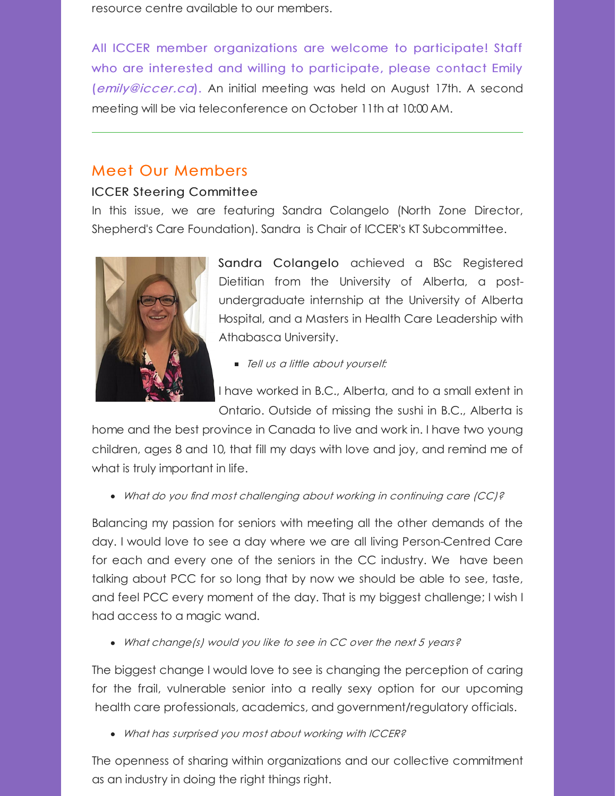resource centre available to our members.

All ICCER member organizations are welcome to participate! Staff who are interested and willing to participate, please contact Emily ([emily@iccer.ca](mailto:emily@iccer.ca)). An initial meeting was held on August 17th. A second meeting will be via teleconference on October 11th at 10:00 AM.

## Meet Our Members

## ICCER Steering Committee

In this issue, we are featuring Sandra Colangelo (North Zone Director, Shepherd's Care Foundation). Sandra is Chair of ICCER's KT Subcommittee.



Sandra Colangelo achieved a BSc Registered Dietitian from the University of Alberta, a postundergraduate internship at the University of Alberta Hospital, and a Masters in Health Care Leadership with Athabasca University.

**Tell us a little about yourself:** 

I have worked in B.C., Alberta, and to a small extent in Ontario. Outside of missing the sushi in B.C., Alberta is

home and the best province in Canada to live and work in. I have two young children, ages 8 and 10, that fill my days with love and joy, and remind me of what is truly important in life.

What do you find most challenging about working in continuing care (CC)?

Balancing my passion for seniors with meeting all the other demands of the day. I would love to see a day where we are all living Person-Centred Care for each and every one of the seniors in the CC industry. We have been talking about PCC for so long that by now we should be able to see, taste, and feel PCC every moment of the day. That is my biggest challenge; I wish I had access to a magic wand.

• What change(s) would you like to see in CC over the next 5 years?

The biggest change I would love to see is changing the perception of caring for the frail, vulnerable senior into a really sexy option for our upcoming health care professionals, academics, and government/regulatory officials.

What has surprised you most about working with ICCER?

The openness of sharing within organizations and our collective commitment as an industry in doing the right things right.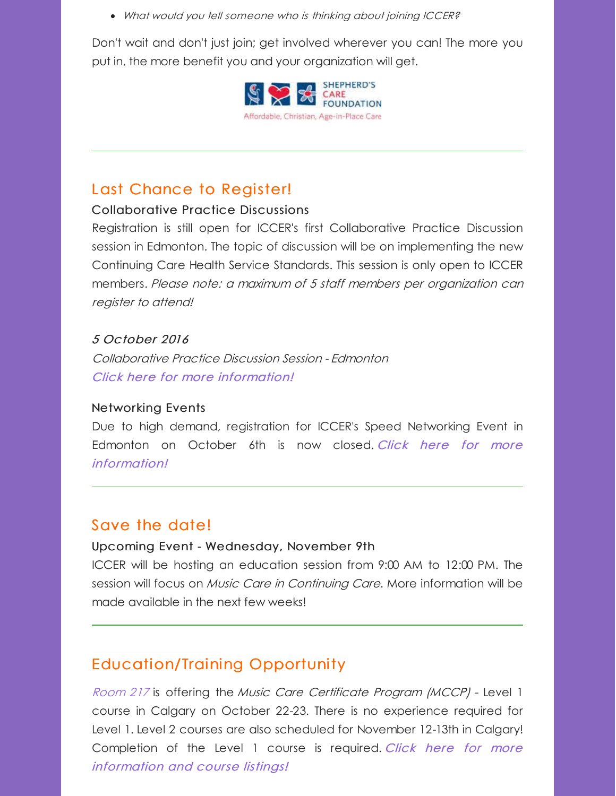What would you tell someone who is thinking about joining ICCER?

Don't wait and don't just join; get involved wherever you can! The more you put in, the more benefit you and your organization will get.



# Last Chance to Register!

### Collaborative Practice Discussions

Registration is still open for ICCER's first Collaborative Practice Discussion session in Edmonton. The topic of discussion will be on implementing the new Continuing Care Health Service Standards. This session is only open to ICCER members. Please note: <sup>a</sup> maximum of 5 staff members per organization can register to attend!

### 5 October 2016

Collaborative Practice Discussion Session - Edmonton Click here for more [information!](http://r20.rs6.net/tn.jsp?f=001-NAcRqi2QE0r_orwBQ2_zukEeOlcaHdEhRRxcVuonGAIxwBWe5C76RKFdg_VIWYHjoziW7f350oKhTjotr8Z1pZBEC99bJpQZCnBerCjuGdb6TIEJjb3xptQF_cKH5XxoZXOGsrSE5fRmpxzJEEAgtPLnTe4LEDZh9yBCzbRfAiA-JZbTCG9xdibgKvzWgwB7S17U6N33JbMg_9Gco0X0wbPENdJVJYnWu-qRR0Am_5OFBmtXYr3hOpangbKCZGnMKwiu-0WVNHJ7SwKStRB3A==&c=&ch=)

### Networking Events

Due to high demand, registration for ICCER's Speed Networking Event in Edmonton on October 6th is now closed. Click here for more [information!](http://r20.rs6.net/tn.jsp?f=001-NAcRqi2QE0r_orwBQ2_zukEeOlcaHdEhRRxcVuonGAIxwBWe5C76at4QQoYXzWqioropv8Rv-SSVQ_mP_IxTLUqt35yoD7wZJsv-Vo8UU7cn8aTQT5TsGIvEhZHNGKGs9EExP0KlJQBtkdTVmvkyZhbGcOWG4YYN56TeI_JwsIu2eGzq-O0H09HdvLW94Lbnfftt8Vpy5O9shtl-jnlc_eZ-EDwTF1OZHK6YY3OmRvdjjPcjkG8FwIro6hrfmxuyRgs-6Atwu76_iICFvP0ng==&c=&ch=)

## Save the date!

### Upcoming Event - Wednesday, November 9th

ICCER will be hosting an education session from 9:00 AM to 12:00 PM. The session will focus on *Music Care in Continuing Care*. More information will be made available in the next few weeks!

## Education/Training Opportunity

[Room](http://r20.rs6.net/tn.jsp?f=001-NAcRqi2QE0r_orwBQ2_zukEeOlcaHdEhRRxcVuonGAIxwBWe5C76dme4U9pyUrRa4KBL6lAKXmPNkeF1a_8UZo4blUExiwmsfI8fU-OhfeqrgCRn9A0WlTkrBT0iyIw4n-Kk5IB8LGTxfQ1X2S0yCz5jQ3DHsUe1kbjc90VGtI=&c=&ch=) 217 is offering the Music Care Certificate Program (MCCP) - Level 1 course in Calgary on October 22-23. There is no experience required for Level 1. Level 2 courses are also scheduled for November 12-13th in Calgary! [Completion](http://r20.rs6.net/tn.jsp?f=001-NAcRqi2QE0r_orwBQ2_zukEeOlcaHdEhRRxcVuonGAIxwBWe5C76dme4U9pyUrRA0VUwoYEXUO1ZfcyGbnfxlKLmqqLNU-YBUaVCMlfDKug7S1Zlebel_DPYar5Xv6e3Ty3aINTSscACZjtZHXsbzvSdnJlxlweh8zG8fEHOh2Wpu1v2rAU8sZG6tNzE6xVBHr9iMnnB7k=&c=&ch=) of the Level 1 course is required. Click here for more information and course listings!